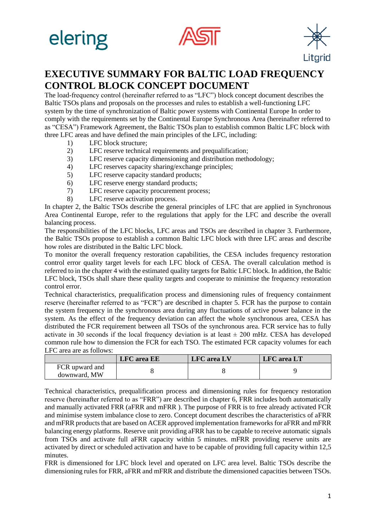





## **EXECUTIVE SUMMARY FOR BALTIC LOAD FREQUENCY CONTROL BLOCK CONCEPT DOCUMENT**

The load-frequency control (hereinafter referred to as "LFC") block concept document describes the Baltic TSOs plans and proposals on the processes and rules to establish a well-functioning LFC system by the time of synchronization of Baltic power systems with Continental Europe In order to comply with the requirements set by the Continental Europe Synchronous Area (hereinafter referred to as "CESA") Framework Agreement, the Baltic TSOs plan to establish common Baltic LFC block with three LFC areas and have defined the main principles of the LFC, including:

- 1) LFC block structure;
- 2) LFC reserve technical requirements and prequalification;
- 3) LFC reserve capacity dimensioning and distribution methodology;
- 4) LFC reserves capacity sharing/exchange principles;
- 5) LFC reserve capacity standard products;
- 6) LFC reserve energy standard products;
- 7) LFC reserve capacity procurement process;
- 8) LFC reserve activation process.

In chapter 2, the Baltic TSOs describe the general principles of LFC that are applied in Synchronous Area Continental Europe, refer to the regulations that apply for the LFC and describe the overall balancing process.

The responsibilities of the LFC blocks, LFC areas and TSOs are described in chapter 3. Furthermore, the Baltic TSOs propose to establish a common Baltic LFC block with three LFC areas and describe how roles are distributed in the Baltic LFC block.

To monitor the overall frequency restoration capabilities, the CESA includes frequency restoration control error quality target levels for each LFC block of CESA. The overall calculation method is referred to in the chapter 4 with the estimated quality targets for Baltic LFC block. In addition, the Baltic LFC block, TSOs shall share these quality targets and cooperate to minimise the frequency restoration control error.

Technical characteristics, prequalification process and dimensioning rules of frequency containment reserve (hereinafter referred to as "FCR") are described in chapter 5. FCR has the purpose to contain the system frequency in the synchronous area during any fluctuations of active power balance in the system. As the effect of the frequency deviation can affect the whole synchronous area, CESA has distributed the FCR requirement between all TSOs of the synchronous area. FCR service has to fully activate in 30 seconds if the local frequency deviation is at least  $\pm$  200 mHz. CESA has developed common rule how to dimension the FCR for each TSO. The estimated FCR capacity volumes for each LFC area are as follows:

|                                | <b>LFC</b> area <b>EE</b> | <b>LFC</b> area LV | <b>LFC</b> area LT |
|--------------------------------|---------------------------|--------------------|--------------------|
| FCR upward and<br>downward, MW |                           |                    |                    |

Technical characteristics, prequalification process and dimensioning rules for frequency restoration reserve (hereinafter referred to as "FRR") are described in chapter 6, FRR includes both automatically and manually activated FRR (aFRR and mFRR ). The purpose of FRR is to free already activated FCR and minimise system imbalance close to zero. Concept document describes the characteristics of aFRR and mFRR products that are based on ACER approved implementation frameworks for aFRR and mFRR balancing energy platforms. Reserve unit providing aFRR has to be capable to receive automatic signals from TSOs and activate full aFRR capacity within 5 minutes. mFRR providing reserve units are activated by direct or scheduled activation and have to be capable of providing full capacity within 12,5 minutes.

FRR is dimensioned for LFC block level and operated on LFC area level. Baltic TSOs describe the dimensioning rules for FRR, aFRR and mFRR and distribute the dimensioned capacities between TSOs.